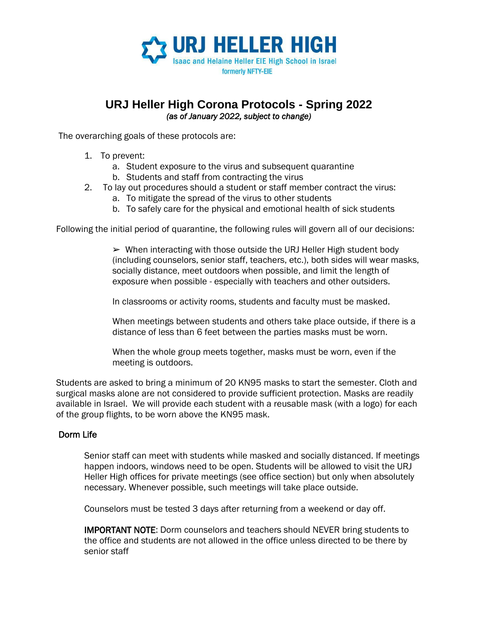

### **URJ Heller High Corona Protocols - Spring 2022** *(as of January 2022, subject to change)*

The overarching goals of these protocols are:

- 1. To prevent:
	- a. Student exposure to the virus and subsequent quarantine
	- b. Students and staff from contracting the virus
- 2. To lay out procedures should a student or staff member contract the virus:
	- a. To mitigate the spread of the virus to other students
	- b. To safely care for the physical and emotional health of sick students

Following the initial period of quarantine, the following rules will govern all of our decisions:

 $\triangleright$  When interacting with those outside the URJ Heller High student body (including counselors, senior staff, teachers, etc.), both sides will wear masks, socially distance, meet outdoors when possible, and limit the length of exposure when possible - especially with teachers and other outsiders.

In classrooms or activity rooms, students and faculty must be masked.

When meetings between students and others take place outside, if there is a distance of less than 6 feet between the parties masks must be worn.

When the whole group meets together, masks must be worn, even if the meeting is outdoors.

Students are asked to bring a minimum of 20 KN95 masks to start the semester. Cloth and surgical masks alone are not considered to provide sufficient protection. Masks are readily available in Israel. We will provide each student with a reusable mask (with a logo) for each of the group flights, to be worn above the KN95 mask.

#### Dorm Life

Senior staff can meet with students while masked and socially distanced. If meetings happen indoors, windows need to be open. Students will be allowed to visit the URJ Heller High offices for private meetings (see office section) but only when absolutely necessary. Whenever possible, such meetings will take place outside.

Counselors must be tested 3 days after returning from a weekend or day off.

IMPORTANT NOTE: Dorm counselors and teachers should NEVER bring students to the office and students are not allowed in the office unless directed to be there by senior staff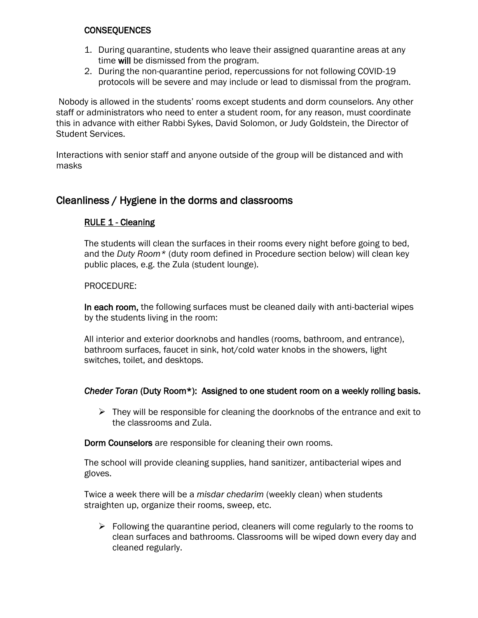#### **CONSEQUENCES**

- 1. During quarantine, students who leave their assigned quarantine areas at any time will be dismissed from the program.
- 2. During the non-quarantine period, repercussions for not following COVID-19 protocols will be severe and may include or lead to dismissal from the program.

Nobody is allowed in the students' rooms except students and dorm counselors. Any other staff or administrators who need to enter a student room, for any reason, must coordinate this in advance with either Rabbi Sykes, David Solomon, or Judy Goldstein, the Director of Student Services.

Interactions with senior staff and anyone outside of the group will be distanced and with masks

## Cleanliness / Hygiene in the dorms and classrooms

#### RULE 1 - Cleaning

The students will clean the surfaces in their rooms every night before going to bed, and the *Duty Room\** (duty room defined in Procedure section below) will clean key public places, e.g. the Zula (student lounge).

#### PROCEDURE:

In each room, the following surfaces must be cleaned daily with anti-bacterial wipes by the students living in the room:

All interior and exterior doorknobs and handles (rooms, bathroom, and entrance), bathroom surfaces, faucet in sink, hot/cold water knobs in the showers, light switches, toilet, and desktops.

#### *Cheder Toran* (Duty Room\*): Assigned to one student room on a weekly rolling basis.

 $\triangleright$  They will be responsible for cleaning the doorknobs of the entrance and exit to the classrooms and Zula.

Dorm Counselors are responsible for cleaning their own rooms.

The school will provide cleaning supplies, hand sanitizer, antibacterial wipes and gloves.

Twice a week there will be a *misdar chedarim* (weekly clean) when students straighten up, organize their rooms, sweep, etc.

 $\triangleright$  Following the quarantine period, cleaners will come regularly to the rooms to clean surfaces and bathrooms. Classrooms will be wiped down every day and cleaned regularly.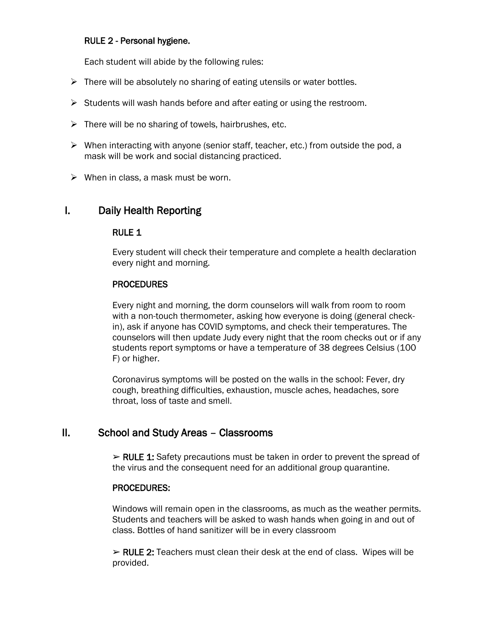#### RULE 2 - Personal hygiene.

Each student will abide by the following rules:

- $\triangleright$  There will be absolutely no sharing of eating utensils or water bottles.
- ➢ Students will wash hands before and after eating or using the restroom.
- $\triangleright$  There will be no sharing of towels, hairbrushes, etc.
- $\triangleright$  When interacting with anyone (senior staff, teacher, etc.) from outside the pod, a mask will be work and social distancing practiced.
- $\triangleright$  When in class, a mask must be worn.

## I. Daily Health Reporting

### RULE 1

Every student will check their temperature and complete a health declaration every night and morning.

### PROCEDURES

Every night and morning, the dorm counselors will walk from room to room with a non-touch thermometer, asking how everyone is doing (general checkin), ask if anyone has COVID symptoms, and check their temperatures. The counselors will then update Judy every night that the room checks out or if any students report symptoms or have a temperature of 38 degrees Celsius (100 F) or higher.

Coronavirus symptoms will be posted on the walls in the school: Fever, dry cough, breathing difficulties, exhaustion, muscle aches, headaches, sore throat, loss of taste and smell.

## II. School and Study Areas – Classrooms

 $\triangleright$  RULE 1: Safety precautions must be taken in order to prevent the spread of the virus and the consequent need for an additional group quarantine.

#### PROCEDURES:

Windows will remain open in the classrooms, as much as the weather permits. Students and teachers will be asked to wash hands when going in and out of class. Bottles of hand sanitizer will be in every classroom

 $\triangleright$  RULE 2: Teachers must clean their desk at the end of class. Wipes will be provided.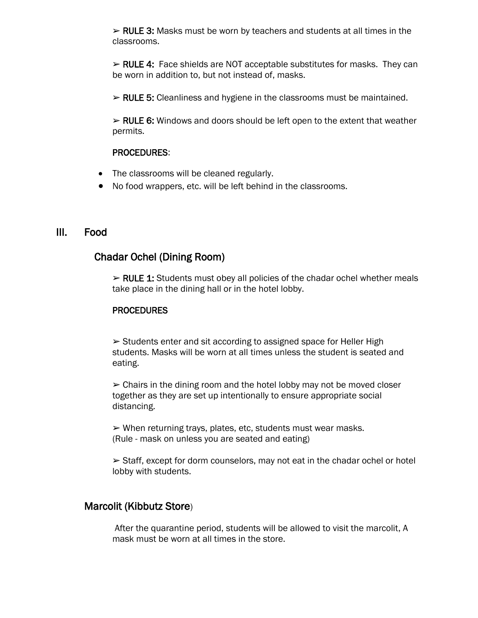$\triangleright$  RULE 3: Masks must be worn by teachers and students at all times in the classrooms.

 $\triangleright$  RULE 4: Face shields are NOT acceptable substitutes for masks. They can be worn in addition to, but not instead of, masks.

➢ RULE 5: Cleanliness and hygiene in the classrooms must be maintained.

 $\triangleright$  RULE 6: Windows and doors should be left open to the extent that weather permits.

#### PROCEDURES:

- The classrooms will be cleaned regularly.
- No food wrappers, etc. will be left behind in the classrooms.

### III. Food

## Chadar Ochel (Dining Room)

 $\triangleright$  RULE 1: Students must obey all policies of the chadar ochel whether meals take place in the dining hall or in the hotel lobby.

#### PROCEDURES

➢ Students enter and sit according to assigned space for Heller High students. Masks will be worn at all times unless the student is seated and eating.

 $\geq$  Chairs in the dining room and the hotel lobby may not be moved closer together as they are set up intentionally to ensure appropriate social distancing.

 $\triangleright$  When returning trays, plates, etc, students must wear masks. (Rule - mask on unless you are seated and eating)

 $\geq$  Staff, except for dorm counselors, may not eat in the chadar ochel or hotel lobby with students.

### Marcolit (Kibbutz Store)

 After the quarantine period, students will be allowed to visit the marcolit, A mask must be worn at all times in the store.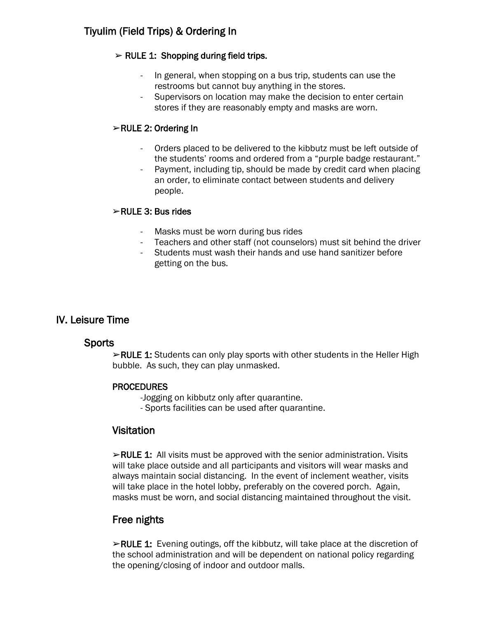# Tiyulim (Field Trips) & Ordering In

### $\triangleright$  RULE 1: Shopping during field trips.

- In general, when stopping on a bus trip, students can use the restrooms but cannot buy anything in the stores.
- Supervisors on location may make the decision to enter certain stores if they are reasonably empty and masks are worn.

### ➢RULE 2: Ordering In

- Orders placed to be delivered to the kibbutz must be left outside of the students' rooms and ordered from a "purple badge restaurant."
- Payment, including tip, should be made by credit card when placing an order, to eliminate contact between students and delivery people.

### ➢RULE 3: Bus rides

- Masks must be worn during bus rides
- Teachers and other staff (not counselors) must sit behind the driver
- Students must wash their hands and use hand sanitizer before getting on the bus.

## IV. Leisure Time

### **Sports**

 $\blacktriangleright$ RULE 1: Students can only play sports with other students in the Heller High bubble. As such, they can play unmasked.

### PROCEDURES

-Jogging on kibbutz only after quarantine.

- Sports facilities can be used after quarantine.

## **Visitation**

 $\triangleright$ RULE 1: All visits must be approved with the senior administration. Visits will take place outside and all participants and visitors will wear masks and always maintain social distancing. In the event of inclement weather, visits will take place in the hotel lobby, preferably on the covered porch. Again, masks must be worn, and social distancing maintained throughout the visit.

## Free nights

➢RULE 1: Evening outings, off the kibbutz, will take place at the discretion of the school administration and will be dependent on national policy regarding the opening/closing of indoor and outdoor malls.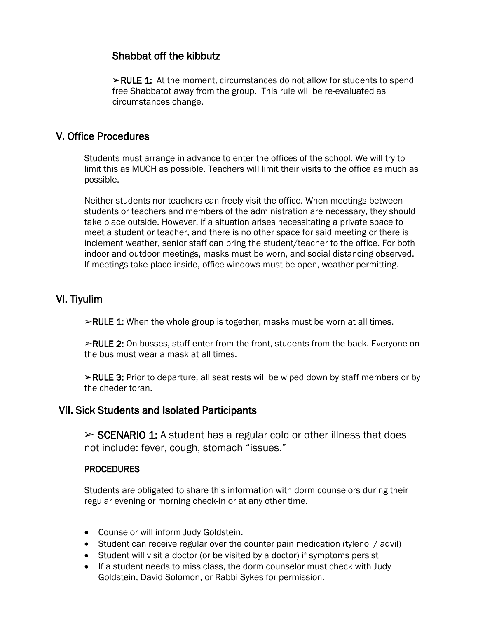## Shabbat off the kibbutz

 $\triangleright$ RULE 1: At the moment, circumstances do not allow for students to spend free Shabbatot away from the group. This rule will be re-evaluated as circumstances change.

## V. Office Procedures

Students must arrange in advance to enter the offices of the school. We will try to limit this as MUCH as possible. Teachers will limit their visits to the office as much as possible.

Neither students nor teachers can freely visit the office. When meetings between students or teachers and members of the administration are necessary, they should take place outside. However, if a situation arises necessitating a private space to meet a student or teacher, and there is no other space for said meeting or there is inclement weather, senior staff can bring the student/teacher to the office. For both indoor and outdoor meetings, masks must be worn, and social distancing observed. If meetings take place inside, office windows must be open, weather permitting.

## VI. Tiyulim

➢RULE 1: When the whole group is together, masks must be worn at all times.

 $\triangleright$ RULE 2: On busses, staff enter from the front, students from the back. Everyone on the bus must wear a mask at all times.

➢RULE 3: Prior to departure, all seat rests will be wiped down by staff members or by the cheder toran.

### VII. Sick Students and Isolated Participants

 $\triangleright$  SCENARIO 1: A student has a regular cold or other illness that does not include: fever, cough, stomach "issues."

#### PROCEDURES

Students are obligated to share this information with dorm counselors during their regular evening or morning check-in or at any other time.

- Counselor will inform Judy Goldstein.
- Student can receive regular over the counter pain medication (tylenol / advil)
- Student will visit a doctor (or be visited by a doctor) if symptoms persist
- If a student needs to miss class, the dorm counselor must check with Judy Goldstein, David Solomon, or Rabbi Sykes for permission.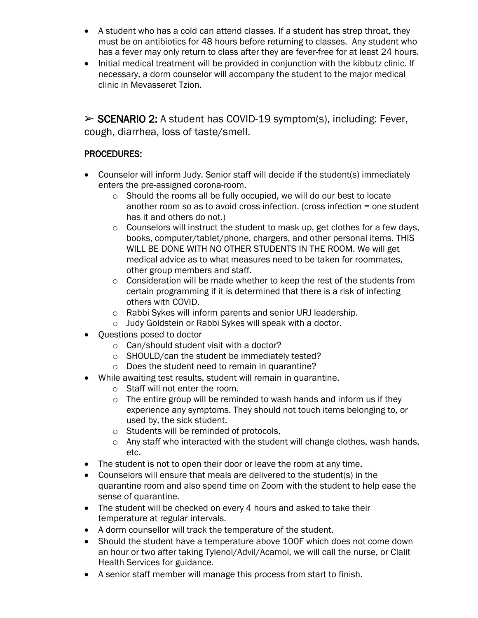- A student who has a cold can attend classes. If a student has strep throat, they must be on antibiotics for 48 hours before returning to classes. Any student who has a fever may only return to class after they are fever-free for at least 24 hours.
- Initial medical treatment will be provided in conjunction with the kibbutz clinic. If necessary, a dorm counselor will accompany the student to the major medical clinic in Mevasseret Tzion.

➢ SCENARIO 2: A student has COVID-19 symptom(s), including: Fever, cough, diarrhea, loss of taste/smell.

## PROCEDURES:

- Counselor will inform Judy. Senior staff will decide if the student(s) immediately enters the pre-assigned corona-room.
	- o Should the rooms all be fully occupied, we will do our best to locate another room so as to avoid cross-infection. (cross infection = one student has it and others do not.)
	- o Counselors will instruct the student to mask up, get clothes for a few days, books, computer/tablet/phone, chargers, and other personal items. THIS WILL BE DONE WITH NO OTHER STUDENTS IN THE ROOM. We will get medical advice as to what measures need to be taken for roommates, other group members and staff.
	- o Consideration will be made whether to keep the rest of the students from certain programming if it is determined that there is a risk of infecting others with COVID.
	- o Rabbi Sykes will inform parents and senior URJ leadership.
	- o Judy Goldstein or Rabbi Sykes will speak with a doctor.
- Questions posed to doctor
	- o Can/should student visit with a doctor?
	- o SHOULD/can the student be immediately tested?
	- o Does the student need to remain in quarantine?
- While awaiting test results, student will remain in quarantine.
	- o Staff will not enter the room.
	- o The entire group will be reminded to wash hands and inform us if they experience any symptoms. They should not touch items belonging to, or used by, the sick student.
	- o Students will be reminded of protocols,
	- o Any staff who interacted with the student will change clothes, wash hands, etc.
- The student is not to open their door or leave the room at any time.
- Counselors will ensure that meals are delivered to the student(s) in the quarantine room and also spend time on Zoom with the student to help ease the sense of quarantine.
- The student will be checked on every 4 hours and asked to take their temperature at regular intervals.
- A dorm counsellor will track the temperature of the student.
- Should the student have a temperature above 100F which does not come down an hour or two after taking Tylenol/Advil/Acamol, we will call the nurse, or Clalit Health Services for guidance.
- A senior staff member will manage this process from start to finish.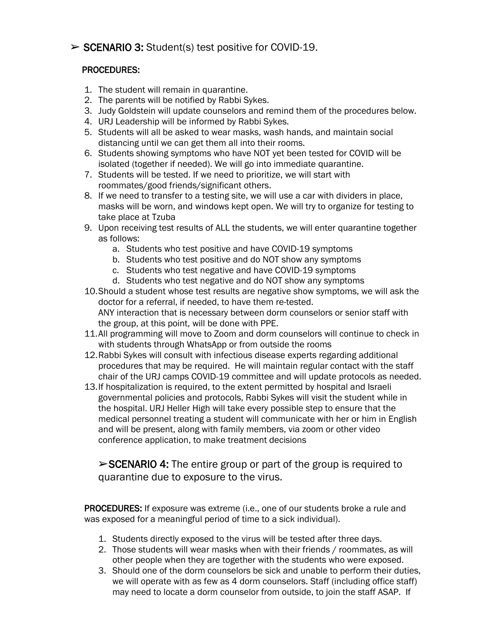# $\triangleright$  SCENARIO 3: Student(s) test positive for COVID-19.

### PROCEDURES:

- 1. The student will remain in quarantine.
- 2. The parents will be notified by Rabbi Sykes.
- 3. Judy Goldstein will update counselors and remind them of the procedures below.
- 4. URJ Leadership will be informed by Rabbi Sykes.
- 5. Students will all be asked to wear masks, wash hands, and maintain social distancing until we can get them all into their rooms.
- 6. Students showing symptoms who have NOT yet been tested for COVID will be isolated (together if needed). We will go into immediate quarantine.
- 7. Students will be tested. If we need to prioritize, we will start with roommates/good friends/significant others.
- 8. If we need to transfer to a testing site, we will use a car with dividers in place, masks will be worn, and windows kept open. We will try to organize for testing to take place at Tzuba
- 9. Upon receiving test results of ALL the students, we will enter quarantine together as follows:
	- a. Students who test positive and have COVID-19 symptoms
	- b. Students who test positive and do NOT show any symptoms
	- c. Students who test negative and have COVID-19 symptoms
	- d. Students who test negative and do NOT show any symptoms
- 10.Should a student whose test results are negative show symptoms, we will ask the doctor for a referral, if needed, to have them re-tested. ANY interaction that is necessary between dorm counselors or senior staff with the group, at this point, will be done with PPE.
- 11.All programming will move to Zoom and dorm counselors will continue to check in with students through WhatsApp or from outside the rooms
- 12.Rabbi Sykes will consult with infectious disease experts regarding additional procedures that may be required. He will maintain regular contact with the staff chair of the URJ camps COVID-19 committee and will update protocols as needed.
- 13.If hospitalization is required, to the extent permitted by hospital and Israeli governmental policies and protocols, Rabbi Sykes will visit the student while in the hospital. URJ Heller High will take every possible step to ensure that the medical personnel treating a student will communicate with her or him in English and will be present, along with family members, via zoom or other video conference application, to make treatment decisions

 $\triangleright$ SCENARIO 4: The entire group or part of the group is required to quarantine due to exposure to the virus.

PROCEDURES: If exposure was extreme (i.e., one of our students broke a rule and was exposed for a meaningful period of time to a sick individual).

- 1. Students directly exposed to the virus will be tested after three days.
- 2. Those students will wear masks when with their friends / roommates, as will other people when they are together with the students who were exposed.
- 3. Should one of the dorm counselors be sick and unable to perform their duties, we will operate with as few as 4 dorm counselors. Staff (including office staff) may need to locate a dorm counselor from outside, to join the staff ASAP. If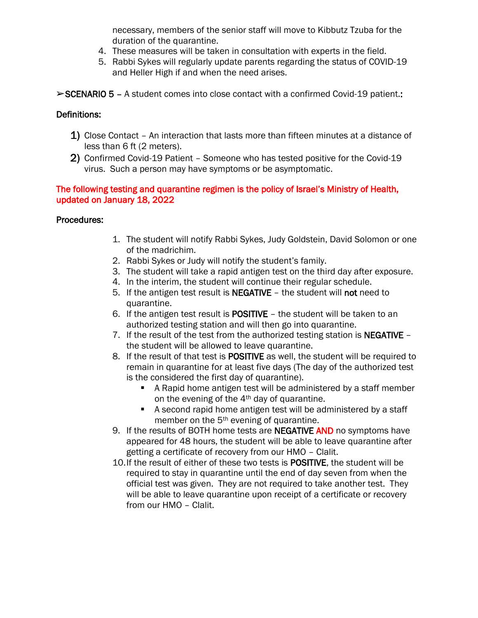necessary, members of the senior staff will move to Kibbutz Tzuba for the duration of the quarantine.

- 4. These measures will be taken in consultation with experts in the field.
- 5. Rabbi Sykes will regularly update parents regarding the status of COVID-19 and Heller High if and when the need arises.
- ➢SCENARIO 5 A student comes into close contact with a confirmed Covid-19 patient.:

#### Definitions:

- 1) Close Contact An interaction that lasts more than fifteen minutes at a distance of less than 6 ft (2 meters).
- 2) Confirmed Covid-19 Patient Someone who has tested positive for the Covid-19 virus. Such a person may have symptoms or be asymptomatic.

#### The following testing and quarantine regimen is the policy of Israel's Ministry of Health, updated on January 18, 2022

#### Procedures:

- 1. The student will notify Rabbi Sykes, Judy Goldstein, David Solomon or one of the madrichim.
- 2. Rabbi Sykes or Judy will notify the student's family.
- 3. The student will take a rapid antigen test on the third day after exposure.
- 4. In the interim, the student will continue their regular schedule.
- 5. If the antigen test result is NEGATIVE the student will not need to quarantine.
- 6. If the antigen test result is POSITIVE the student will be taken to an authorized testing station and will then go into quarantine.
- 7. If the result of the test from the authorized testing station is NEGATIVE the student will be allowed to leave quarantine.
- 8. If the result of that test is POSITIVE as well, the student will be required to remain in quarantine for at least five days (The day of the authorized test is the considered the first day of quarantine).
	- A Rapid home antigen test will be administered by a staff member on the evening of the 4<sup>th</sup> day of quarantine.
	- A second rapid home antigen test will be administered by a staff member on the 5<sup>th</sup> evening of quarantine.
- 9. If the results of BOTH home tests are NEGATIVE AND no symptoms have appeared for 48 hours, the student will be able to leave quarantine after getting a certificate of recovery from our HMO – Clalit.
- 10.If the result of either of these two tests is POSITIVE, the student will be required to stay in quarantine until the end of day seven from when the official test was given. They are not required to take another test. They will be able to leave quarantine upon receipt of a certificate or recovery from our HMO – Clalit.